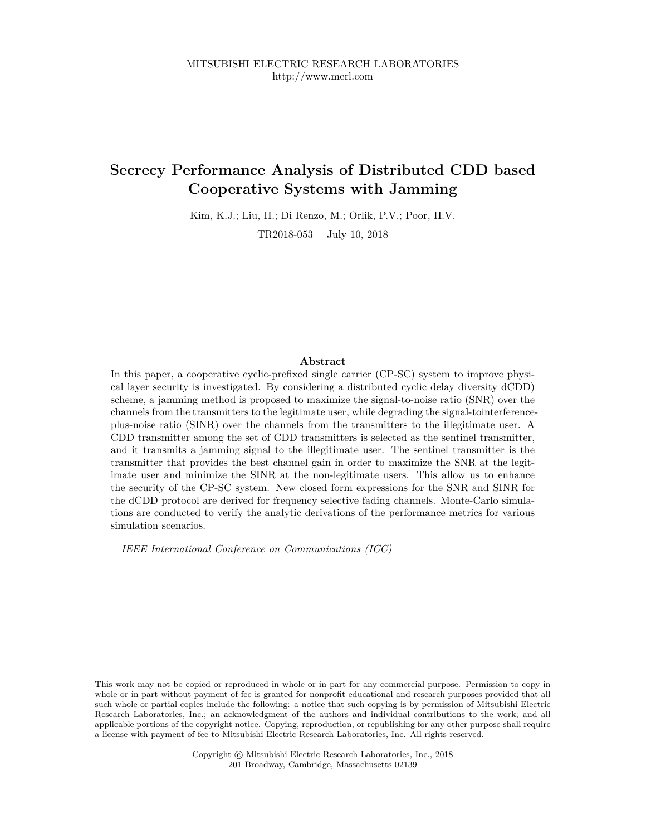# **Secrecy Performance Analysis of Distributed CDD based Cooperative Systems with Jamming**

Kim, K.J.; Liu, H.; Di Renzo, M.; Orlik, P.V.; Poor, H.V.

TR2018-053 July 10, 2018

# **Abstract**

In this paper, a cooperative cyclic-prefixed single carrier (CP-SC) system to improve physical layer security is investigated. By considering a distributed cyclic delay diversity dCDD) scheme, a jamming method is proposed to maximize the signal-to-noise ratio (SNR) over the channels from the transmitters to the legitimate user, while degrading the signal-tointerferenceplus-noise ratio (SINR) over the channels from the transmitters to the illegitimate user. A CDD transmitter among the set of CDD transmitters is selected as the sentinel transmitter, and it transmits a jamming signal to the illegitimate user. The sentinel transmitter is the transmitter that provides the best channel gain in order to maximize the SNR at the legitimate user and minimize the SINR at the non-legitimate users. This allow us to enhance the security of the CP-SC system. New closed form expressions for the SNR and SINR for the dCDD protocol are derived for frequency selective fading channels. Monte-Carlo simulations are conducted to verify the analytic derivations of the performance metrics for various simulation scenarios.

*IEEE International Conference on Communications (ICC)*

This work may not be copied or reproduced in whole or in part for any commercial purpose. Permission to copy in whole or in part without payment of fee is granted for nonprofit educational and research purposes provided that all such whole or partial copies include the following: a notice that such copying is by permission of Mitsubishi Electric Research Laboratories, Inc.; an acknowledgment of the authors and individual contributions to the work; and all applicable portions of the copyright notice. Copying, reproduction, or republishing for any other purpose shall require a license with payment of fee to Mitsubishi Electric Research Laboratories, Inc. All rights reserved.

> Copyright © Mitsubishi Electric Research Laboratories, Inc., 2018 201 Broadway, Cambridge, Massachusetts 02139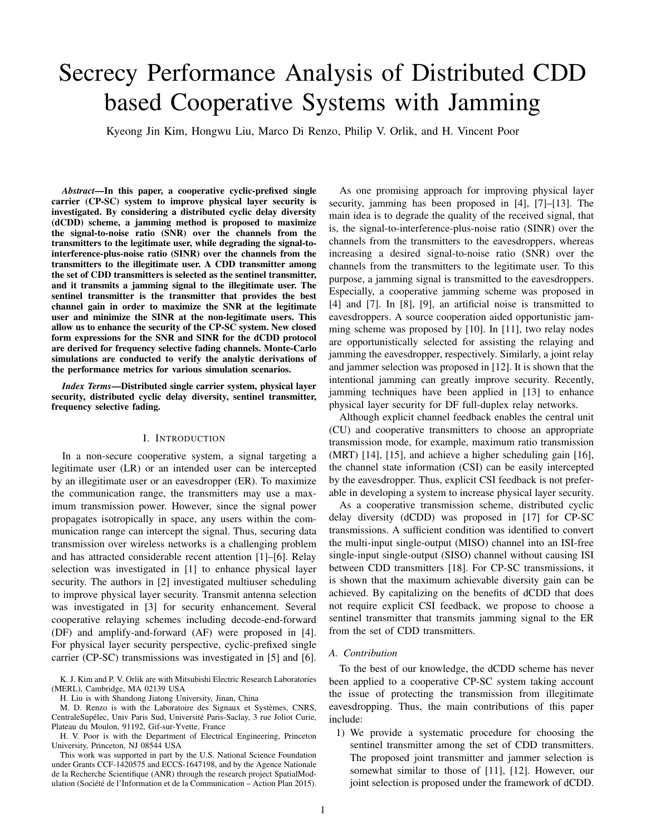# Secrecy Performance Analysis of Distributed CDD based Cooperative Systems with Jamming

Kyeong Jin Kim, Hongwu Liu, Marco Di Renzo, Philip V. Orlik, and H. Vincent Poor

*Abstract***—In this paper, a cooperative cyclic-prefixed single carrier (CP-SC) system to improve physical layer security is investigated. By considering a distributed cyclic delay diversity (dCDD) scheme, a jamming method is proposed to maximize the signal-to-noise ratio (SNR) over the channels from the transmitters to the legitimate user, while degrading the signal-tointerference-plus-noise ratio (SINR) over the channels from the transmitters to the illegitimate user. A CDD transmitter among the set of CDD transmitters is selected as the sentinel transmitter, and it transmits a jamming signal to the illegitimate user. The sentinel transmitter is the transmitter that provides the best channel gain in order to maximize the SNR at the legitimate user and minimize the SINR at the non-legitimate users. This allow us to enhance the security of the CP-SC system. New closed form expressions for the SNR and SINR for the dCDD protocol are derived for frequency selective fading channels. Monte-Carlo simulations are conducted to verify the analytic derivations of the performance metrics for various simulation scenarios.**

*Index Terms***—Distributed single carrier system, physical layer security, distributed cyclic delay diversity, sentinel transmitter, frequency selective fading.**

#### I. INTRODUCTION

In a non-secure cooperative system, a signal targeting a legitimate user (LR) or an intended user can be intercepted by an illegitimate user or an eavesdropper (ER). To maximize the communication range, the transmitters may use a maximum transmission power. However, since the signal power propagates isotropically in space, any users within the communication range can intercept the signal. Thus, securing data transmission over wireless networks is a challenging problem and has attracted considerable recent attention [1]–[6]. Relay selection was investigated in [1] to enhance physical layer security. The authors in [2] investigated multiuser scheduling to improve physical layer security. Transmit antenna selection was investigated in [3] for security enhancement. Several cooperative relaying schemes including decode-end-forward (DF) and amplify-and-forward (AF) were proposed in [4]. For physical layer security perspective, cyclic-prefixed single carrier (CP-SC) transmissions was investigated in [5] and [6].

K. J. Kim and P. V. Orlik are with Mitsubishi Electric Research Laboratories (MERL), Cambridge, MA 02139 USA

H. Liu is with Shandong Jiatong University, Jinan, China

M. D. Renzo is with the Laboratoire des Signaux et Systèmes, CNRS, CentraleSupélec, Univ Paris Sud, Université Paris-Saclay, 3 rue Joliot Curie, Plateau du Moulon, 91192, Gif-sur-Yvette, France

H. V. Poor is with the Department of Electrical Engineering, Princeton University, Princeton, NJ 08544 USA

This work was supported in part by the U.S. National Science Foundation under Grants CCF-1420575 and ECCS-1647198, and by the Agence Nationale de la Recherche Scientifique (ANR) through the research project SpatialModulation (Société de l'Information et de la Communication – Action Plan 2015).

As one promising approach for improving physical layer security, jamming has been proposed in [4], [7]–[13]. The main idea is to degrade the quality of the received signal, that is, the signal-to-interference-plus-noise ratio (SINR) over the channels from the transmitters to the eavesdroppers, whereas increasing a desired signal-to-noise ratio (SNR) over the channels from the transmitters to the legitimate user. To this purpose, a jamming signal is transmitted to the eavesdroppers. Especially, a cooperative jamming scheme was proposed in [4] and [7]. In [8], [9], an artificial noise is transmitted to eavesdroppers. A source cooperation aided opportunistic jamming scheme was proposed by [10]. In [11], two relay nodes are opportunistically selected for assisting the relaying and jamming the eavesdropper, respectively. Similarly, a joint relay and jammer selection was proposed in [12]. It is shown that the intentional jamming can greatly improve security. Recently, jamming techniques have been applied in [13] to enhance physical layer security for DF full-duplex relay networks.

Although explicit channel feedback enables the central unit (CU) and cooperative transmitters to choose an appropriate transmission mode, for example, maximum ratio transmission (MRT) [14], [15], and achieve a higher scheduling gain [16], the channel state information (CSI) can be easily intercepted by the eavesdropper. Thus, explicit CSI feedback is not preferable in developing a system to increase physical layer security.

As a cooperative transmission scheme, distributed cyclic delay diversity (dCDD) was proposed in [17] for CP-SC transmissions. A sufficient condition was identified to convert the multi-input single-output (MISO) channel into an ISI-free single-input single-output (SISO) channel without causing ISI between CDD transmitters [18]. For CP-SC transmissions, it is shown that the maximum achievable diversity gain can be achieved. By capitalizing on the benefits of dCDD that does not require explicit CSI feedback, we propose to choose a sentinel transmitter that transmits jamming signal to the ER from the set of CDD transmitters.

# *A. Contribution*

To the best of our knowledge, the dCDD scheme has never been applied to a cooperative CP-SC system taking account the issue of protecting the transmission from illegitimate eavesdropping. Thus, the main contributions of this paper include:

1) We provide a systematic procedure for choosing the sentinel transmitter among the set of CDD transmitters. The proposed joint transmitter and jammer selection is somewhat similar to those of [11], [12]. However, our joint selection is proposed under the framework of dCDD.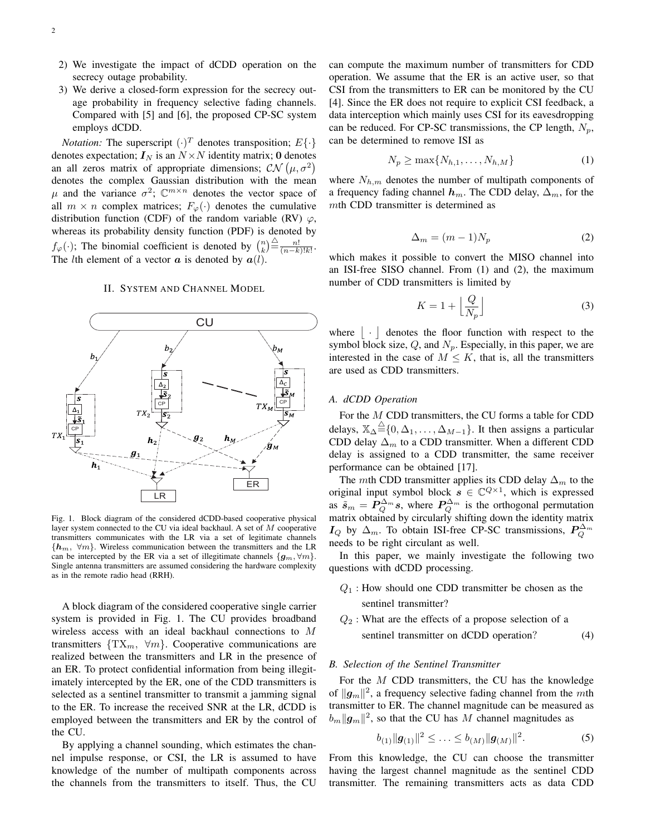- 2) We investigate the impact of dCDD operation on the secrecy outage probability.
- 3) We derive a closed-form expression for the secrecy outage probability in frequency selective fading channels. Compared with [5] and [6], the proposed CP-SC system employs dCDD.

*Notation:* The superscript  $(·)^T$  denotes transposition;  $E\{· \}$ denotes expectation;  $I_N$  is an  $N \times N$  identity matrix; 0 denotes an all zeros matrix of appropriate dimensions;  $\mathcal{CN}(\mu, \sigma^2)$ denotes the complex Gaussian distribution with the mean  $\mu$  and the variance  $\sigma^2$ ;  $\mathbb{C}^{m \times n}$  denotes the vector space of all  $m \times n$  complex matrices;  $F_{\varphi}(\cdot)$  denotes the cumulative distribution function (CDF) of the random variable (RV)  $\varphi$ , whereas its probability density function (PDF) is denoted by  $f_{\varphi}(\cdot)$ ; The binomial coefficient is denoted by  $\binom{n}{k} \stackrel{\triangle}{=} \frac{n!}{(n-k)!k!}$ . The *l*th element of a vector  $\boldsymbol{a}$  is denoted by  $\boldsymbol{a}(l)$ .

#### II. SYSTEM AND CHANNEL MODEL



Fig. 1. Block diagram of the considered dCDD-based cooperative physical layer system connected to the CU via ideal backhaul. A set of  $M$  cooperative transmitters communicates with the LR via a set of legitimate channels  ${h_m, \forall m}$ . Wireless communication between the transmitters and the LR can be intercepted by the ER via a set of illegitimate channels  $\{g_m, \forall m\}$ . Single antenna transmitters are assumed considering the hardware complexity as in the remote radio head (RRH).

A block diagram of the considered cooperative single carrier system is provided in Fig. 1. The CU provides broadband wireless access with an ideal backhaul connections to  $M$ transmitters  $\{TX_m, \forall m\}$ . Cooperative communications are realized between the transmitters and LR in the presence of an ER. To protect confidential information from being illegitimately intercepted by the ER, one of the CDD transmitters is selected as a sentinel transmitter to transmit a jamming signal to the ER. To increase the received SNR at the LR, dCDD is employed between the transmitters and ER by the control of the CU.

By applying a channel sounding, which estimates the channel impulse response, or CSI, the LR is assumed to have knowledge of the number of multipath components across the channels from the transmitters to itself. Thus, the CU can compute the maximum number of transmitters for CDD operation. We assume that the ER is an active user, so that CSI from the transmitters to ER can be monitored by the CU [4]. Since the ER does not require to explicit CSI feedback, a data interception which mainly uses CSI for its eavesdropping can be reduced. For CP-SC transmissions, the CP length,  $N_p$ , can be determined to remove ISI as

$$
N_p \ge \max\{N_{h,1}, \dots, N_{h,M}\}\tag{1}
$$

where  $N_{h,m}$  denotes the number of multipath components of a frequency fading channel  $h_m$ . The CDD delay,  $\Delta_m$ , for the  $m$ th CDD transmitter is determined as

$$
\Delta_m = (m-1)N_p \tag{2}
$$

which makes it possible to convert the MISO channel into an ISI-free SISO channel. From (1) and (2), the maximum number of CDD transmitters is limited by

$$
K = 1 + \left\lfloor \frac{Q}{N_p} \right\rfloor \tag{3}
$$

where  $\|\cdot\|$  denotes the floor function with respect to the symbol block size,  $Q$ , and  $N_p$ . Especially, in this paper, we are interested in the case of  $M \leq K$ , that is, all the transmitters are used as CDD transmitters.

# *A. dCDD Operation*

For the  $M$  CDD transmitters, the CU forms a table for CDD delays,  $\mathbb{X}_{\Delta} \stackrel{\triangle}{=} \{0, \Delta_1, \ldots, \Delta_{M-1}\}.$  It then assigns a particular CDD delay  $\Delta_m$  to a CDD transmitter. When a different CDD delay is assigned to a CDD transmitter, the same receiver performance can be obtained [17].

The mth CDD transmitter applies its CDD delay  $\Delta_m$  to the original input symbol block  $s \in \mathbb{C}^{Q \times 1}$ , which is expressed as  $\tilde{s}_m = P_Q^{\Delta_m} s$ , where  $P_Q^{\Delta_m}$  is the orthogonal permutation matrix obtained by circularly shifting down the identity matrix  $I_Q$  by  $\Delta_m$ . To obtain ISI-free CP-SC transmissions,  $P_Q^{\Delta_m}$ needs to be right circulant as well.

In this paper, we mainly investigate the following two questions with dCDD processing.

- $Q_1$ : How should one CDD transmitter be chosen as the sentinel transmitter?
- $Q_2$ : What are the effects of a propose selection of a sentinel transmitter on dCDD operation? (4)

#### *B. Selection of the Sentinel Transmitter*

For the  $M$  CDD transmitters, the CU has the knowledge of  $||g_m||^2$ , a frequency selective fading channel from the mth transmitter to ER. The channel magnitude can be measured as  $|b_m||g_m||^2$ , so that the CU has M channel magnitudes as

$$
b_{(1)}\|\boldsymbol{g}_{(1)}\|^2 \leq \ldots \leq b_{(M)}\|\boldsymbol{g}_{(M)}\|^2.
$$
 (5)

From this knowledge, the CU can choose the transmitter having the largest channel magnitude as the sentinel CDD transmitter. The remaining transmitters acts as data CDD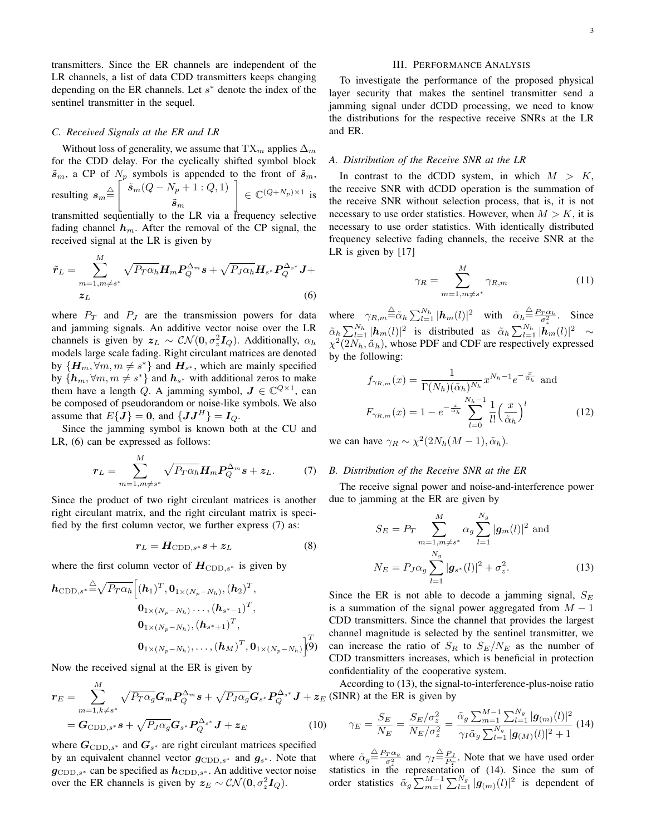transmitters. Since the ER channels are independent of the LR channels, a list of data CDD transmitters keeps changing depending on the ER channels. Let  $s^*$  denote the index of the sentinel transmitter in the sequel.

#### *C. Received Signals at the ER and LR*

Without loss of generality, we assume that  $TX_m$  applies  $\Delta_m$ for the CDD delay. For the cyclically shifted symbol block  $\tilde{s}_m$ , a CP of  $N_p$  symbols is appended to the front of  $\tilde{s}_m$ , resulting  $s_m \stackrel{\triangle}{=} \left[ \begin{array}{c} \tilde{s}_m(Q-N_p+1:Q,1) \\ 0 \end{array} \right]$  $\tilde{s}_m$  $\Big] \in \mathbb{C}^{(Q+N_p)\times 1}$  is

transmitted sequentially to the LR via a frequency selective fading channel  $h_m$ . After the removal of the CP signal, the received signal at the LR is given by

$$
\tilde{r}_L = \sum_{\substack{m=1,m\neq s^*}}^M \sqrt{P_T \alpha_h} \mathbf{H}_m \mathbf{P}_Q^{\Delta_m} \mathbf{s} + \sqrt{P_J \alpha_h} \mathbf{H}_{s^*} \mathbf{P}_Q^{\Delta_{s^*}} \mathbf{J} +
$$
  

$$
z_L
$$
 (6)

where  $P_T$  and  $P_J$  are the transmission powers for data and jamming signals. An additive vector noise over the LR channels is given by  $z_L \sim \mathcal{CN}(\mathbf{0}, \sigma_z^2 \mathbf{I}_Q)$ . Additionally,  $\alpha_h$ models large scale fading. Right circulant matrices are denoted by  $\{H_m, \forall m, m \neq s^*\}\$  and  $H_{s^*}$ , which are mainly specified by  $\{h_m, \forall m, m \neq s^*\}$  and  $h_{s^*}$  with additional zeros to make them have a length Q. A jamming symbol,  $J \in \mathbb{C}^{Q \times 1}$ , can be composed of pseudorandom or noise-like symbols. We also assume that  $E{J} = 0$ , and  ${JJ<sup>H</sup>} = I<sub>Q</sub>$ .

Since the jamming symbol is known both at the CU and LR, (6) can be expressed as follows:

$$
\boldsymbol{r}_L = \sum_{m=1,m\neq s^*}^{M} \sqrt{P_T \alpha_h} \boldsymbol{H}_m \boldsymbol{P}_Q^{\Delta_m} \boldsymbol{s} + \boldsymbol{z}_L. \tag{7}
$$

Since the product of two right circulant matrices is another right circulant matrix, and the right circulant matrix is specified by the first column vector, we further express (7) as:

$$
\boldsymbol{r}_L = \boldsymbol{H}_{\text{CDD},s^*}\boldsymbol{s} + \boldsymbol{z}_L \tag{8}
$$

where the first column vector of  $H_{\text{CDD},s^*}$  is given by

$$
\begin{aligned}\n\boldsymbol{h}_{\text{CDD},s^*} \triangleq & \sqrt{P_T \alpha_h} \Big[ (\boldsymbol{h}_1)^T, \boldsymbol{0}_{1 \times (N_p - N_h)}, (\boldsymbol{h}_2)^T, \\
\boldsymbol{0}_{1 \times (N_p - N_h)} \dots, (\boldsymbol{h}_{s^* - 1})^T, \\
\boldsymbol{0}_{1 \times (N_p - N_h)}, (\boldsymbol{h}_{s^* + 1})^T, \\
\boldsymbol{0}_{1 \times (N_p - N_h)}, \dots, (\boldsymbol{h}_M)^T, \boldsymbol{0}_{1 \times (N_p - N_h)} \Big]^T \end{aligned}
$$

Now the received signal at the ER is given by

$$
\mathbf{r}_{E} = \sum_{m=1, k \neq s^{*}}^{M} \sqrt{P_{T} \alpha_{g}} \mathbf{G}_{m} \mathbf{P}_{Q}^{\Delta_{m}} \mathbf{s} + \sqrt{P_{J} \alpha_{g}} \mathbf{G}_{s^{*}} \mathbf{P}_{Q}^{\Delta_{s^{*}}} \mathbf{J} + \mathbf{z}_{E}
$$

$$
= \mathbf{G}_{\text{CDD}, s^{*}} \mathbf{s} + \sqrt{P_{J} \alpha_{g}} \mathbf{G}_{s^{*}} \mathbf{P}_{Q}^{\Delta_{s^{*}}} \mathbf{J} + \mathbf{z}_{E}
$$
(10)

where  $G_{\text{CDD},s^*}$  and  $G_{s^*}$  are right circulant matrices specified by an equivalent channel vector  $g_{\text{CDD},s^*}$  and  $g_{s^*}$ . Note that  $g_{\text{CDD},s^*}$  can be specified as  $h_{\text{CDD},s^*}$ . An additive vector noise over the ER channels is given by  $z_E \sim \mathcal{CN}(0, \sigma_z^2 I_Q)$ .

#### III. PERFORMANCE ANALYSIS

To investigate the performance of the proposed physical layer security that makes the sentinel transmitter send a jamming signal under dCDD processing, we need to know the distributions for the respective receive SNRs at the LR and ER.

#### *A. Distribution of the Receive SNR at the LR*

In contrast to the dCDD system, in which  $M > K$ , the receive SNR with dCDD operation is the summation of the receive SNR without selection process, that is, it is not necessary to use order statistics. However, when  $M > K$ , it is necessary to use order statistics. With identically distributed frequency selective fading channels, the receive SNR at the LR is given by [17]

$$
\gamma_R = \sum_{m=1,m \neq s^*}^M \gamma_{R,m} \tag{11}
$$

where  $\gamma_{R,m} \triangleq \tilde{\alpha}_h \sum_{l=1}^{N_h} |\boldsymbol{h}_m(l)|^2$  with  $\tilde{\alpha}_h \triangleq \frac{P_T \alpha_h}{\sigma_z^2}$ . Since  $\tilde{\alpha}_h \sum_{l=1}^{N_h} |\boldsymbol{h}_m(l)|^2$  is distributed as  $\tilde{\alpha}_h \sum_{l=1}^{N_h} |\tilde{\boldsymbol{h}_m}(l)|^2 \sim$  $\chi^2(2N_h, \tilde{\alpha}_h)$ , whose PDF and CDF are respectively expressed by the following:

$$
f_{\gamma_{R,m}}(x) = \frac{1}{\Gamma(N_h)(\tilde{\alpha}_h)^{N_h}} x^{N_h - 1} e^{-\frac{x}{\tilde{\alpha}_h}}
$$
 and  

$$
F_{\gamma_{R,m}}(x) = 1 - e^{-\frac{x}{\tilde{\alpha}_h}} \sum_{l=0}^{N_h - 1} \frac{1}{l!} \left(\frac{x}{\tilde{\alpha}_h}\right)^l
$$
 (12)

we can have  $\gamma_R \sim \chi^2(2N_h(M-1), \tilde{\alpha}_h)$ .

# *B. Distribution of the Receive SNR at the ER*

The receive signal power and noise-and-interference power due to jamming at the ER are given by

$$
S_E = P_T \sum_{m=1,m \neq s^*}^{M} \alpha_g \sum_{l=1}^{N_g} |\mathbf{g}_m(l)|^2 \text{ and}
$$

$$
N_E = P_J \alpha_g \sum_{l=1}^{N_g} |\mathbf{g}_{s^*}(l)|^2 + \sigma_z^2.
$$
(13)

Since the ER is not able to decode a jamming signal,  $S_E$ is a summation of the signal power aggregated from  $M - 1$ CDD transmitters. Since the channel that provides the largest channel magnitude is selected by the sentinel transmitter, we can increase the ratio of  $S_R$  to  $S_E/N_E$  as the number of CDD transmitters increases, which is beneficial in protection confidentiality of the cooperative system.

According to (13), the signal-to-interference-plus-noise ratio (SINR) at the ER is given by

$$
\gamma_E = \frac{S_E}{N_E} = \frac{S_E/\sigma_z^2}{N_E/\sigma_z^2} = \frac{\tilde{\alpha}_g \sum_{m=1}^{M-1} \sum_{l=1}^{N_g} |\mathbf{g}_{(m)}(l)|^2}{\gamma_I \tilde{\alpha}_g \sum_{l=1}^{N_g} |\mathbf{g}_{(M)}(l)|^2 + 1} (14)
$$

where  $\tilde{\alpha}_g \triangleq \frac{P_T \alpha_g}{\sigma_z^2}$  and  $\gamma_I \triangleq \frac{P_J}{P_T}$ . Note that we have used order statistics in the representation of (14). Since the sum of order statistics  $\tilde{\alpha}_g \sum_{m=1}^{M-1} \sum_{l=1}^{N_g} |\boldsymbol{g}_{(m)}(l)|^2$  is dependent of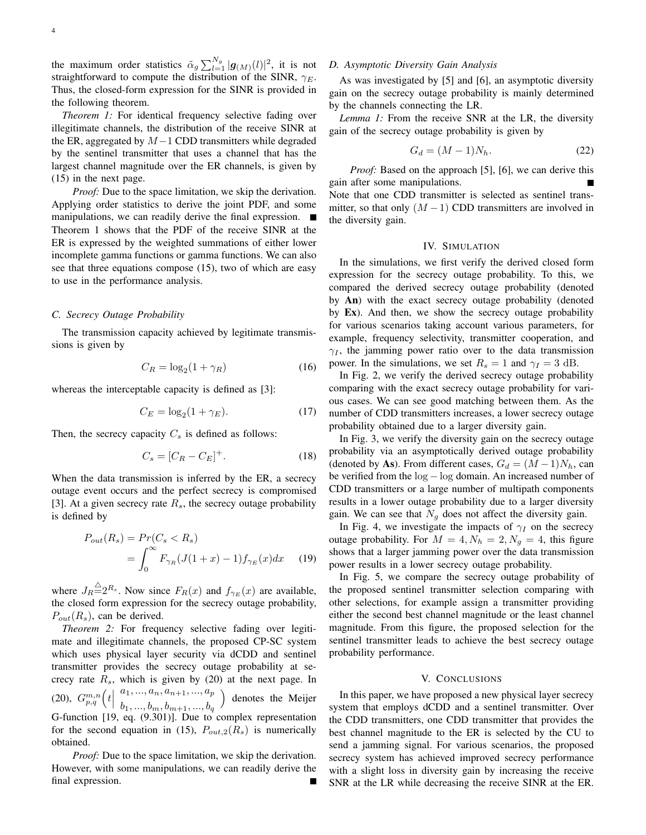the maximum order statistics  $\tilde{\alpha}_g \sum_{l=1}^{N_g} |\mathbf{g}(M)(l)|^2$ , it is not straightforward to compute the distribution of the SINR,  $\gamma_E$ . Thus, the closed-form expression for the SINR is provided in the following theorem.

*Theorem 1:* For identical frequency selective fading over illegitimate channels, the distribution of the receive SINR at the ER, aggregated by  $M-1$  CDD transmitters while degraded by the sentinel transmitter that uses a channel that has the largest channel magnitude over the ER channels, is given by (15) in the next page.

*Proof:* Due to the space limitation, we skip the derivation. Applying order statistics to derive the joint PDF, and some manipulations, we can readily derive the final expression. Theorem 1 shows that the PDF of the receive SINR at the ER is expressed by the weighted summations of either lower incomplete gamma functions or gamma functions. We can also see that three equations compose (15), two of which are easy to use in the performance analysis.

### *C. Secrecy Outage Probability*

The transmission capacity achieved by legitimate transmissions is given by

$$
C_R = \log_2(1 + \gamma_R) \tag{16}
$$

whereas the interceptable capacity is defined as [3]:

$$
C_E = \log_2(1 + \gamma_E). \tag{17}
$$

Then, the secrecy capacity  $C_s$  is defined as follows:

$$
C_s = [C_R - C_E]^+.
$$
 (18)

When the data transmission is inferred by the ER, a secrecy outage event occurs and the perfect secrecy is compromised [3]. At a given secrecy rate  $R_s$ , the secrecy outage probability is defined by

$$
P_{out}(R_s) = Pr(C_s < R_s)
$$
\n
$$
= \int_0^\infty F_{\gamma_R}(J(1+x) - 1) f_{\gamma_E}(x) dx \tag{19}
$$

where  $J_R \triangleq 2^{R_s}$ . Now since  $F_R(x)$  and  $f_{\gamma_E}(x)$  are available, the closed form expression for the secrecy outage probability,  $P_{out}(R_s)$ , can be derived.

*Theorem 2:* For frequency selective fading over legitimate and illegitimate channels, the proposed CP-SC system which uses physical layer security via dCDD and sentinel transmitter provides the secrecy outage probability at secrecy rate  $R_s$ , which is given by (20) at the next page. In  $(20), G_{p,q}^{m,n}(t)$  $a_1, ..., a_n, a_{n+1}, ..., a_p$  $b_1, ..., b_m, b_{m+1}, ..., b_q$ ) denotes the Meijer G-function [19, eq. (9.301)]. Due to complex representation for the second equation in (15),  $P_{out,2}(R_s)$  is numerically obtained.

*Proof:* Due to the space limitation, we skip the derivation. However, with some manipulations, we can readily derive the final expression.

### *D. Asymptotic Diversity Gain Analysis*

As was investigated by [5] and [6], an asymptotic diversity gain on the secrecy outage probability is mainly determined by the channels connecting the LR.

*Lemma 1:* From the receive SNR at the LR, the diversity gain of the secrecy outage probability is given by

$$
G_d = (M-1)N_h. \t\t(22)
$$

*Proof:* Based on the approach [5], [6], we can derive this gain after some manipulations. Note that one CDD transmitter is selected as sentinel transmitter, so that only  $(M - 1)$  CDD transmitters are involved in the diversity gain.

#### IV. SIMULATION

In the simulations, we first verify the derived closed form expression for the secrecy outage probability. To this, we compared the derived secrecy outage probability (denoted by **An**) with the exact secrecy outage probability (denoted by **Ex**). And then, we show the secrecy outage probability for various scenarios taking account various parameters, for example, frequency selectivity, transmitter cooperation, and  $\gamma_I$ , the jamming power ratio over to the data transmission power. In the simulations, we set  $R_s = 1$  and  $\gamma_I = 3$  dB.

In Fig. 2, we verify the derived secrecy outage probability comparing with the exact secrecy outage probability for various cases. We can see good matching between them. As the number of CDD transmitters increases, a lower secrecy outage probability obtained due to a larger diversity gain.

In Fig. 3, we verify the diversity gain on the secrecy outage probability via an asymptotically derived outage probability (denoted by **As**). From different cases,  $G_d = (M-1)N_h$ , can be verified from the log − log domain. An increased number of CDD transmitters or a large number of multipath components results in a lower outage probability due to a larger diversity gain. We can see that  $N_g$  does not affect the diversity gain.

In Fig. 4, we investigate the impacts of  $\gamma_I$  on the secrecy outage probability. For  $M = 4, N_h = 2, N_q = 4$ , this figure shows that a larger jamming power over the data transmission power results in a lower secrecy outage probability.

In Fig. 5, we compare the secrecy outage probability of the proposed sentinel transmitter selection comparing with other selections, for example assign a transmitter providing either the second best channel magnitude or the least channel magnitude. From this figure, the proposed selection for the sentinel transmitter leads to achieve the best secrecy outage probability performance.

#### V. CONCLUSIONS

In this paper, we have proposed a new physical layer secrecy system that employs dCDD and a sentinel transmitter. Over the CDD transmitters, one CDD transmitter that provides the best channel magnitude to the ER is selected by the CU to send a jamming signal. For various scenarios, the proposed secrecy system has achieved improved secrecy performance with a slight loss in diversity gain by increasing the receive SNR at the LR while decreasing the receive SINR at the ER.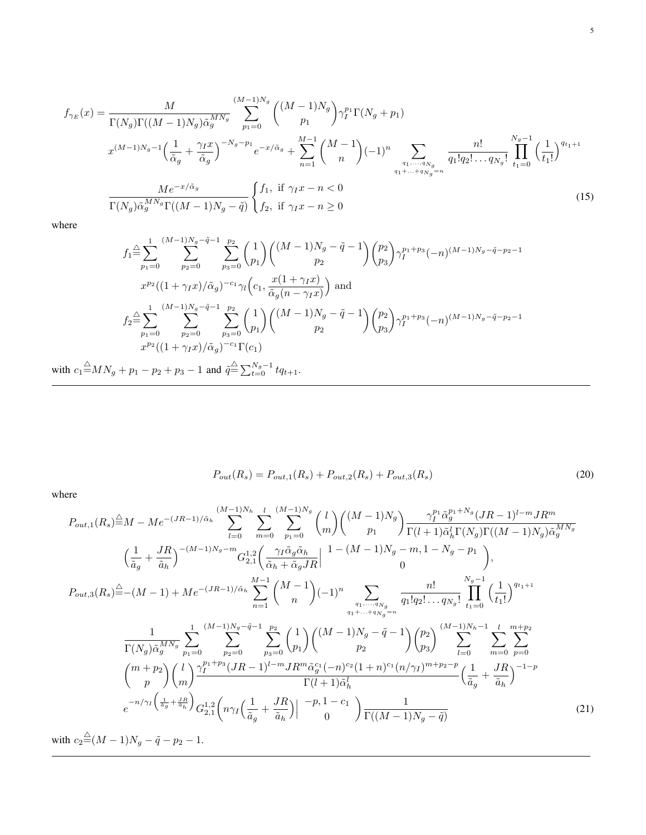$$
f_{\gamma_E}(x) = \frac{M}{\Gamma(N_g)\Gamma((M-1)N_g)\tilde{\alpha}_g^{MN_g}} \sum_{p_1=0}^{(M-1)N_g} \binom{(M-1)N_g}{p_1} \gamma_I^{p_1} \Gamma(N_g + p_1)
$$
  

$$
x^{(M-1)N_g - 1} \left(\frac{1}{\tilde{\alpha}_g} + \frac{\gamma_I x}{\tilde{\alpha}_g}\right)^{-N_g - p_1} e^{-x/\tilde{\alpha}_g} + \sum_{n=1}^{M-1} \binom{M-1}{n} (-1)^n \sum_{\substack{q_1, \dots, q_{N_g} \\ q_1 + \dots + q_{N_g} = n}} \frac{n!}{q_1! q_2! \dots q_{N_g}!} \prod_{t_1=0}^{N_g - 1} \left(\frac{1}{t_1!}\right)^{q_{t_1+1}}
$$
  

$$
\frac{Me^{-x/\tilde{\alpha}_g}}{\Gamma(N_g)\tilde{\alpha}_g^{MN_g} \Gamma((M-1)N_g - \tilde{q})} \begin{cases} f_1, & \text{if } \gamma_I x - n < 0 \\ f_2, & \text{if } \gamma_I x - n \ge 0 \end{cases}
$$
(15)

where

$$
f_1 \stackrel{\triangle}{=} \sum_{p_1=0}^1 \sum_{p_2=0}^{(M-1)N_g - \tilde{q}-1} \sum_{p_3=0}^{p_2} \binom{1}{p_1} \binom{(M-1)N_g - \tilde{q}-1}{p_2} \binom{p_2}{p_3} \gamma_I^{p_1+p_3}(-n)^{(M-1)N_g - \tilde{q}-p_2-1}
$$
  
\n
$$
x^{p_2}((1+\gamma_I x)/\tilde{\alpha}_g)^{-c_1} \gamma_l \left(c_1, \frac{x(1+\gamma_I x)}{\tilde{\alpha}_g(n-\gamma_I x)}\right) \text{ and}
$$
  
\n
$$
f_2 \stackrel{\triangle}{=} \sum_{p_1=0}^1 \sum_{p_2=0}^{(M-1)N_g - \tilde{q}-1} \sum_{p_3=0}^{p_2} \binom{1}{p_1} \binom{(M-1)N_g - \tilde{q}-1}{p_2} \binom{p_2}{p_3} \gamma_I^{p_1+p_3}(-n)^{(M-1)N_g - \tilde{q}-p_2-1}
$$
  
\n
$$
x^{p_2}((1+\gamma_I x)/\tilde{\alpha}_g)^{-c_1} \Gamma(c_1)
$$
  
\n
$$
fN_g + p_1 - p_2 + p_2 - 1 \text{ and } \tilde{q} \stackrel{\triangle}{=} \sum_{p_3=0}^{N_g - 1} t a_{t+1}.
$$

with  $c_1 \triangleq MN_g + p_1 - p_2 + p_3 - 1$  and  $\tilde{q} \triangleq \sum_{t=0}^{N_g - 1} tq_{t+1}$ .

$$
P_{out}(R_s) = P_{out,1}(R_s) + P_{out,2}(R_s) + P_{out,3}(R_s)
$$
\n(20)

where

$$
P_{out,1}(R_s) \stackrel{\triangle}{=} M - Me^{-(JR-1)/\tilde{\alpha}_h} \sum_{l=0}^{(M-1)N_h} \sum_{m=0}^{l} \sum_{p_1=0}^{(M-1)N_g} \binom{l}{m} \binom{(M-1)N_g}{p_1} \frac{\gamma_l^{p_1} \tilde{\alpha}_g^{p_1+N_g} (JR-1)^{l-m} J R^m}{\Gamma(l+1) \tilde{\alpha}_h^l \Gamma(N_g) \Gamma((M-1)N_g) \tilde{\alpha}_g^{MN_g}}
$$

$$
\left(\frac{1}{\tilde{a}_g} + \frac{JR}{\tilde{a}_h}\right)^{-(M-1)N_g - m} G_{2,1}^{1,2} \left(\frac{\gamma_l \tilde{\alpha}_g \tilde{\alpha}_h}{\tilde{\alpha}_h + \tilde{\alpha}_g J R}\right)^{1 - (M-1)N_g - m, 1 - N_g - p_1},
$$

$$
P_{out,3}(R_s) \stackrel{\triangle}{=} -(M-1) + Me^{-(JR-1)/\tilde{\alpha}_h} \sum_{n=1}^{M-1} \binom{M-1}{n} (-1)^n \sum_{q_1, \dots, q_{N_g}} \frac{n!}{q_1! q_2! \dots q_{N_g}!} \prod_{t=0}^{N_g - 1} \left(\frac{1}{t_1!}\right)^{q_{t_1+1}}
$$

$$
\frac{1}{\Gamma(N_g) \tilde{\alpha}_g^{MN_g}} \sum_{p_1=0}^{1} \sum_{p_2=0}^{(M-1)N_g - \tilde{q}-1} \sum_{p_3=0}^{p_2} \binom{1}{p_1} \binom{(M-1)N_g - \tilde{q}-1}{p_2} \binom{p_2}{p_3} \sum_{l=0}^{(M-1)N_h - 1} \sum_{m=0}^{l} \sum_{p=0}^{m+p_2} \sum_{p=0}^{m} \binom{m+p_2}{p} \binom{l}{m} \frac{\gamma_l^{p_1+p_3} (JR-1)^{l-m} J R^m \tilde{\alpha}_g^{c_1}(-n)^{c_2} (1 + n)^{c_1} (n/\gamma_l)^{m+p_2-p}}{\Gamma(l+1) \tilde{\alpha}_h^l} \left(\frac{1}{\tilde{a}_g} + \frac{JR}{\tilde{a}_h}\right)^{-1
$$

with  $c_2 \triangleq (M-1)N_g - \tilde{q} - p_2 - 1$ .